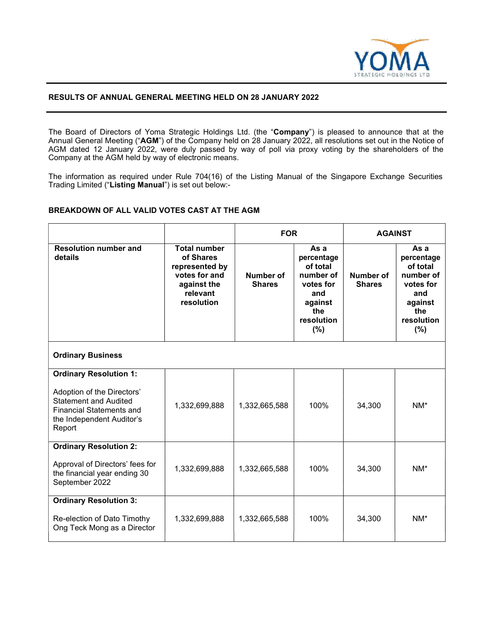

## RESULTS OF ANNUAL GENERAL MEETING HELD ON 28 JANUARY 2022

The Board of Directors of Yoma Strategic Holdings Ltd. (the "Company") is pleased to announce that at the Annual General Meeting ("AGM") of the Company held on 28 January 2022, all resolutions set out in the Notice of AGM dated 12 January 2022, were duly passed by way of poll via proxy voting by the shareholders of the Company at the AGM held by way of electronic means.

The information as required under Rule 704(16) of the Listing Manual of the Singapore Exchange Securities Trading Limited ("Listing Manual") is set out below:-

# BREAKDOWN OF ALL VALID VOTES CAST AT THE AGM

|                                                                                                                                      |                                                                                                              | <b>FOR</b>                 |                                                                                                        | <b>AGAINST</b>             |                                                                                                        |  |
|--------------------------------------------------------------------------------------------------------------------------------------|--------------------------------------------------------------------------------------------------------------|----------------------------|--------------------------------------------------------------------------------------------------------|----------------------------|--------------------------------------------------------------------------------------------------------|--|
| <b>Resolution number and</b><br>details                                                                                              | <b>Total number</b><br>of Shares<br>represented by<br>votes for and<br>against the<br>relevant<br>resolution | Number of<br><b>Shares</b> | As a<br>percentage<br>of total<br>number of<br>votes for<br>and<br>against<br>the<br>resolution<br>(%) | Number of<br><b>Shares</b> | As a<br>percentage<br>of total<br>number of<br>votes for<br>and<br>against<br>the<br>resolution<br>(%) |  |
| <b>Ordinary Business</b>                                                                                                             |                                                                                                              |                            |                                                                                                        |                            |                                                                                                        |  |
| <b>Ordinary Resolution 1:</b>                                                                                                        |                                                                                                              |                            |                                                                                                        |                            |                                                                                                        |  |
| Adoption of the Directors'<br><b>Statement and Audited</b><br><b>Financial Statements and</b><br>the Independent Auditor's<br>Report | 1,332,699,888                                                                                                | 1,332,665,588              | 100%                                                                                                   | 34,300                     | NM*                                                                                                    |  |
| <b>Ordinary Resolution 2:</b>                                                                                                        |                                                                                                              |                            |                                                                                                        |                            |                                                                                                        |  |
| Approval of Directors' fees for<br>the financial year ending 30<br>September 2022                                                    | 1,332,699,888                                                                                                | 1,332,665,588              | 100%                                                                                                   | 34,300                     | $NM^*$                                                                                                 |  |
| <b>Ordinary Resolution 3:</b>                                                                                                        |                                                                                                              |                            |                                                                                                        |                            |                                                                                                        |  |
| Re-election of Dato Timothy<br>Ong Teck Mong as a Director                                                                           | 1,332,699,888                                                                                                | 1,332,665,588              | 100%                                                                                                   | 34,300                     | $NM^*$                                                                                                 |  |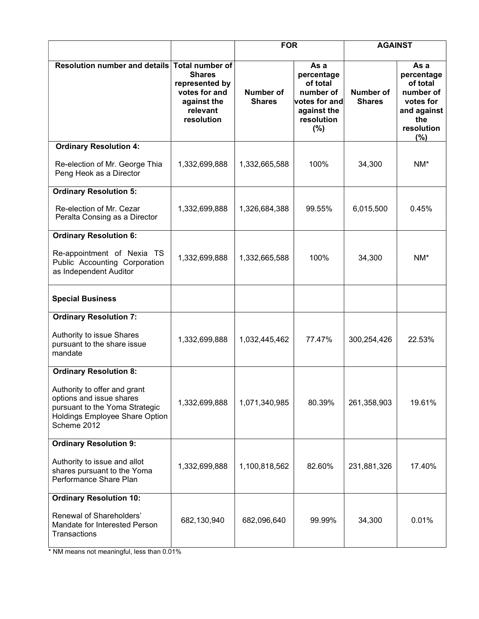|                                                                                                                                             |                                                                                           | <b>FOR</b>                 |                                                                                                  | <b>AGAINST</b>             |                                                                                                         |
|---------------------------------------------------------------------------------------------------------------------------------------------|-------------------------------------------------------------------------------------------|----------------------------|--------------------------------------------------------------------------------------------------|----------------------------|---------------------------------------------------------------------------------------------------------|
| Resolution number and details Total number of                                                                                               | <b>Shares</b><br>represented by<br>votes for and<br>against the<br>relevant<br>resolution | Number of<br><b>Shares</b> | As a<br>percentage<br>of total<br>number of<br>votes for and<br>against the<br>resolution<br>(%) | Number of<br><b>Shares</b> | As a<br>percentage<br>of total<br>number of<br>votes for<br>and against<br>the<br>resolution<br>$(\% )$ |
| <b>Ordinary Resolution 4:</b>                                                                                                               |                                                                                           |                            |                                                                                                  |                            |                                                                                                         |
| Re-election of Mr. George Thia<br>Peng Heok as a Director                                                                                   | 1,332,699,888                                                                             | 1,332,665,588              | 100%                                                                                             | 34,300                     | NM*                                                                                                     |
| <b>Ordinary Resolution 5:</b>                                                                                                               |                                                                                           |                            |                                                                                                  |                            |                                                                                                         |
| Re-election of Mr. Cezar<br>Peralta Consing as a Director                                                                                   | 1,332,699,888                                                                             | 1,326,684,388              | 99.55%                                                                                           | 6,015,500                  | 0.45%                                                                                                   |
| <b>Ordinary Resolution 6:</b>                                                                                                               |                                                                                           |                            |                                                                                                  |                            |                                                                                                         |
| Re-appointment of Nexia TS<br>Public Accounting Corporation<br>as Independent Auditor                                                       | 1,332,699,888                                                                             | 1,332,665,588              | 100%                                                                                             | 34,300                     | $NM^*$                                                                                                  |
| <b>Special Business</b>                                                                                                                     |                                                                                           |                            |                                                                                                  |                            |                                                                                                         |
| <b>Ordinary Resolution 7:</b>                                                                                                               |                                                                                           |                            |                                                                                                  |                            |                                                                                                         |
| Authority to issue Shares<br>pursuant to the share issue<br>mandate                                                                         | 1,332,699,888                                                                             | 1,032,445,462              | 77.47%                                                                                           | 300,254,426                | 22.53%                                                                                                  |
| <b>Ordinary Resolution 8:</b>                                                                                                               |                                                                                           |                            |                                                                                                  |                            |                                                                                                         |
| Authority to offer and grant<br>options and issue shares<br>pursuant to the Yoma Strategic<br>Holdings Employee Share Option<br>Scheme 2012 | 1,332,699,888                                                                             | 1,071,340,985              | 80.39%                                                                                           | 261,358,903                | 19.61%                                                                                                  |
| <b>Ordinary Resolution 9:</b>                                                                                                               |                                                                                           |                            |                                                                                                  |                            |                                                                                                         |
| Authority to issue and allot<br>shares pursuant to the Yoma<br>Performance Share Plan                                                       | 1,332,699,888                                                                             | 1,100,818,562              | 82.60%                                                                                           | 231,881,326                | 17.40%                                                                                                  |
| <b>Ordinary Resolution 10:</b>                                                                                                              |                                                                                           |                            |                                                                                                  |                            |                                                                                                         |
| Renewal of Shareholders'<br>Mandate for Interested Person<br>Transactions                                                                   | 682,130,940                                                                               | 682,096,640                | 99.99%                                                                                           | 34,300                     | 0.01%                                                                                                   |

\* NM means not meaningful, less than 0.01%